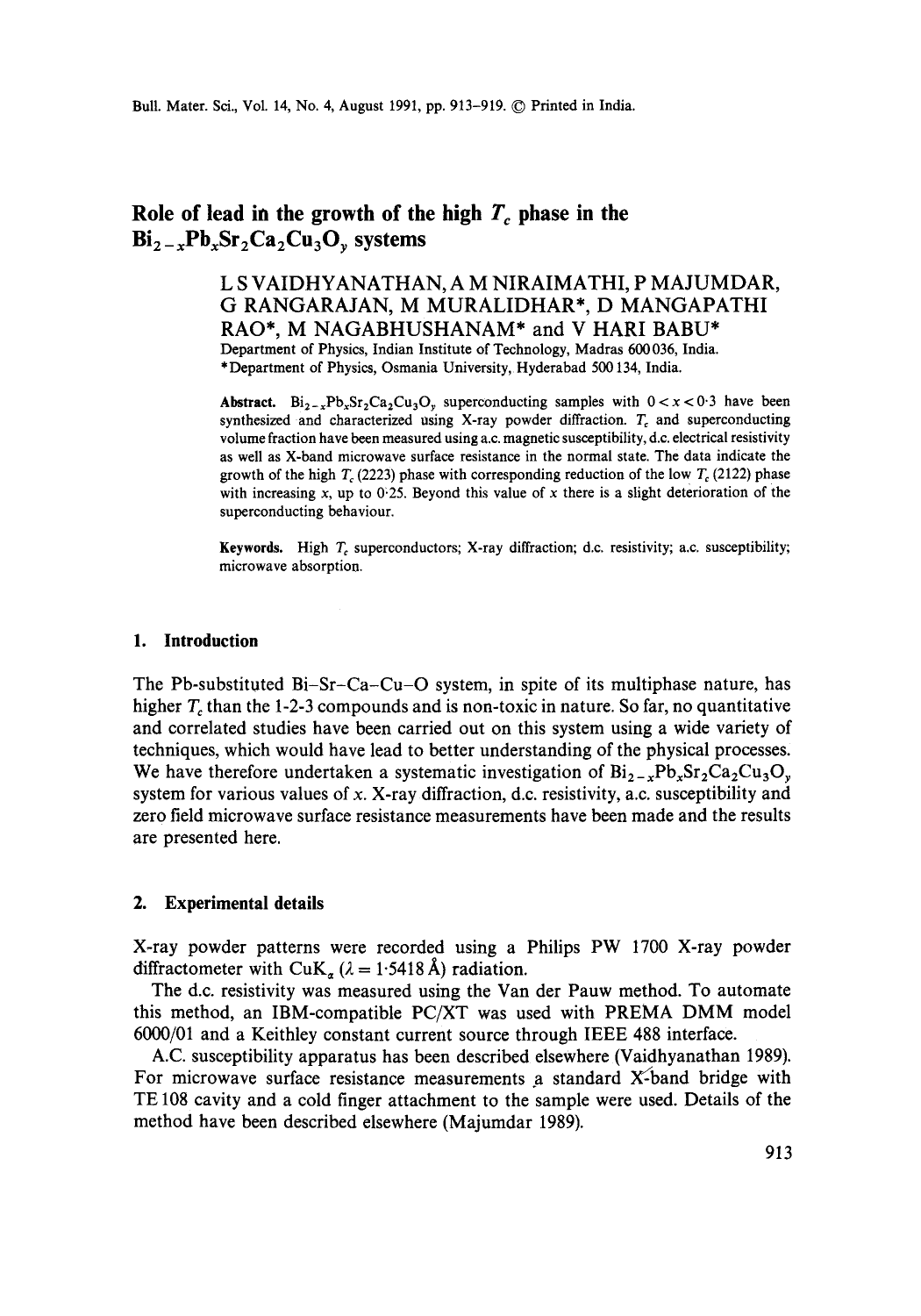# Role of lead in the growth of the high  $T_c$  phase in the  $Bi_{2-x}Pb_xSr_2Ca_2Cu_3O_y$  systems

**L S VAIDHYANATHAN, A M NIRAIMATHI, P MAJUMDAR, G RANGARAJAN, M MURALIDHAR\*, D MANGAPATHI RAO\*, M NAGABHUSHANAM\* and V HARI BABU\***  Department of Physics, Indian Institute of Technology, Madras 600036, India. \*Department of Physics, Osmania University, Hyderabad 500134, India.

**Abstract.**  $Bi_{2-x}Pb_xSr_2Ca_2Cu_3O_y$  superconducting samples with  $0 < x < 0.3$  have been synthesized and characterized using X-ray powder diffraction.  $T_c$  and superconducting volume fraction have been measured using a.c. magnetic susceptibility, d.c. electrical resistivity as well as X-band microwave surface resistance in the normal state. The data indicate the growth of the high  $T_c$  (2223) phase with corresponding reduction of the low  $T_c$  (2122) phase with increasing x, up to  $0.25$ . Beyond this value of x there is a slight deterioration of the superconducting behaviour.

**Keywords.** High T, superconductors; X-ray diffraction; d.c. resistivity; a.c. susceptibility; microwave absorption.

#### **1. Introduction**

The Pb-substituted Bi-Sr-Ca-Cu-O system, in spite of its multiphase nature, has higher  $T_c$  than the 1-2-3 compounds and is non-toxic in nature. So far, no quantitative and correlated studies have been carried out on this system using a wide variety of techniques, which would have lead to better understanding of the physical processes. We have therefore undertaken a systematic investigation of  $Bi_{2-x}Pb_xSr_2Ca_2Cu_3O_y$ system for various values of x. X-ray diffraction, d.c. resistivity, a.c. susceptibility and zero field microwave surface resistance measurements have been made and the results are presented here.

# **2. Experimental details**

X-ray powder patterns were recorded using a Philips PW 1700 X-ray powder diffractometer with  $CuK_{\alpha} (\lambda = 1.5418 \text{ Å})$  radiation.

The d.c. resistivity was measured using the Van der Pauw method. To automate this method, an IBM-compatible PC/XT was used with **PREMA DMM** model 6000/01 and a Keithley constant current source through IEEE 488 interface.

A.C. susceptibility apparatus has been described elsewhere (Vaidhyanathan 1989). For microwave surface resistance measurements a standard X-band bridge with TE 108 cavity and a cold finger attachment to the sample were used. Details of the method have been described elsewhere (Majumdar 1989).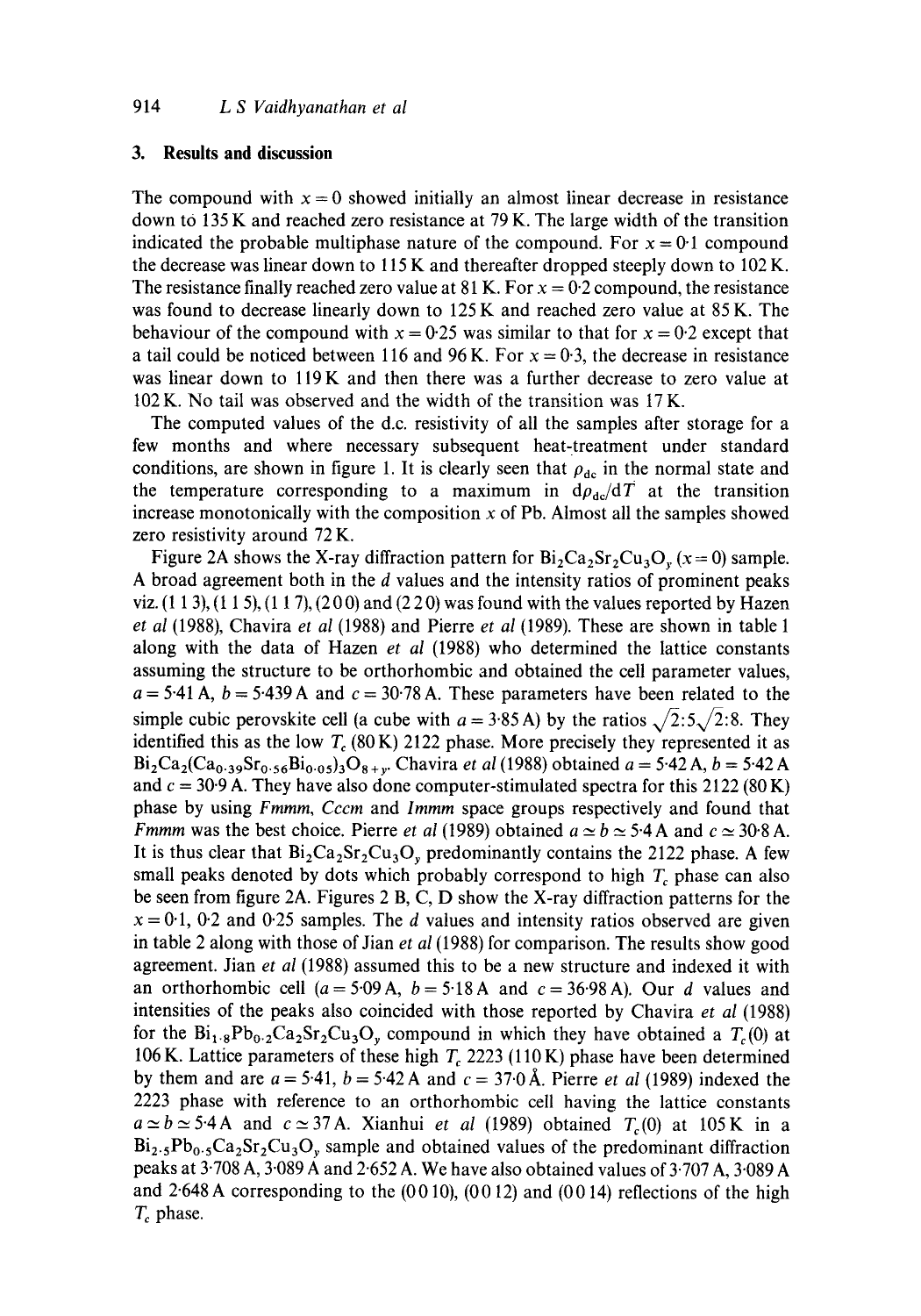#### **3. Results and discussion**

The compound with  $x = 0$  showed initially an almost linear decrease in resistance down to  $135$  K and reached zero resistance at  $79$  K. The large width of the transition indicated the probable multiphase nature of the compound. For  $x = 0.1$  compound the decrease was linear down to 115 K and thereafter dropped steeply down to 102 K. The resistance finally reached zero value at 81 K. For  $x = 0.2$  compound, the resistance was found to decrease linearly down to 125 K and reached zero value at 85 K. The behaviour of the compound with  $x = 0.25$  was similar to that for  $x = 0.2$  except that a tail could be noticed between 116 and 96 K. For  $x = 0.3$ , the decrease in resistance was linear down to lI9K and then there was a further decrease to zero value at 102 K. No tail was observed and the width of the transition was 17 K.

The computed values of the d.c. resistivity of all the samples after storage for a few months and where necessary subsequent heat-treatment under standard conditions, are shown in figure 1. It is clearly seen that  $\rho_{\rm dc}$  in the normal state and the temperature corresponding to a maximum in  $d\rho_{\text{dc}}/dT$  at the transition increase monotonically with the composition  $x$  of Pb. Almost all the samples showed zero resistivity around 72 K.

Figure 2A shows the X-ray diffraction pattern for  $Bi_2Ca_2Sr_2Cu_3O_y$  (x=0) sample. A broad agreement both in the d values and the intensity ratios of prominent peaks viz.  $(1\ 1\ 3)$ ,  $(1\ 1\ 5)$ ,  $(1\ 1\ 7)$ ,  $(2\ 0\ 0)$  and  $(2\ 2\ 0)$  was found with the values reported by Hazen *et al* (1988), Chavira *et al* (1988) and Pierre *et al* (1989). These are shown in table 1 along with the data of Hazen *et al* (1988) who determined the lattice constants assuming the structure to be orthorhombic and obtained the cell parameter values,  $a = 5.41$  A,  $b = 5.439$  A and  $c = 30.78$  A. These parameters have been related to the simple cubic perovskite cell (a cube with  $a = 3.85$  A) by the ratios  $\sqrt{2.5}\sqrt{2.8}$ . They identified this as the low  $T_c$  (80 K) 2122 phase. More precisely they represented it as  $Bi_2Ca_2(Ca_{0.39}Sr_{0.56}Bi_{0.05})_3O_{8+v}$ . Chavira *et al* (1988) obtained  $a = 5.42$  A,  $b = 5.42$  A and  $c = 30.9$  A. They have also done computer-stimulated spectra for this 2122 (80 K) phase by using *Fmmm, Cccm* and *lmmm* space groups respectively and found that *Fmmm* was the best choice. Pierre *et al* (1989) obtained  $a \approx b \approx 5.4$  A and  $c \approx 30.8$  A. It is thus clear that  $Bi_2Ca_2Sr_2Cu_3O_y$  predominantly contains the 2122 phase. A few small peaks denoted by dots which probably correspond to high  $T_c$  phase can also be seen from figure 2A. Figures 2 B, C, D show the X-ray diffraction patterns for the  $x = 0.1$ , 0.2 and 0.25 samples. The d values and intensity ratios observed are given in table 2 along with those of Jian *et al* (1988) for comparison. The results show good agreement. Jian *et al* (1988) assumed this to be a new structure and indexed it with an orthorhombic cell ( $a = 5.09$  A,  $b = 5.18$  A and  $c = 36.98$  A). Our d values and intensities of the peaks also coincided with those reported by Chavira *et al* (1988) for the  $Bi_{1.8}Pb_{0.2}Ca_2Sr_2Cu_3O_y$  compound in which they have obtained a  $T_c(0)$  at 106 K. Lattice parameters of these high  $T_c$  2223 (110 K) phase have been determined by them and are  $a = 5.41$ ,  $b = 5.42$  A and  $c = 37.0$  Å. Pierre *et al* (1989) indexed the 2223 phase with reference to an orthorhombic cell having the lattice constants  $a \approx b \approx 5.4$  A and  $c \approx 37$  A. Xianhui *et al* (1989) obtained  $T_c(0)$  at 105 K in a  $Bi_{2.5}Pb_{0.5}Ca_{2}Sr_{2}Cu_{3}O_{y}$  sample and obtained values of the predominant diffraction peaks at  $3\cdot708$  A,  $3\cdot089$  A and  $2\cdot652$  A. We have also obtained values of  $3\cdot707$  A,  $3\cdot089$  A and  $2.648$  A corresponding to the  $(0010)$ ,  $(0012)$  and  $(0014)$  reflections of the high  $T_c$  phase.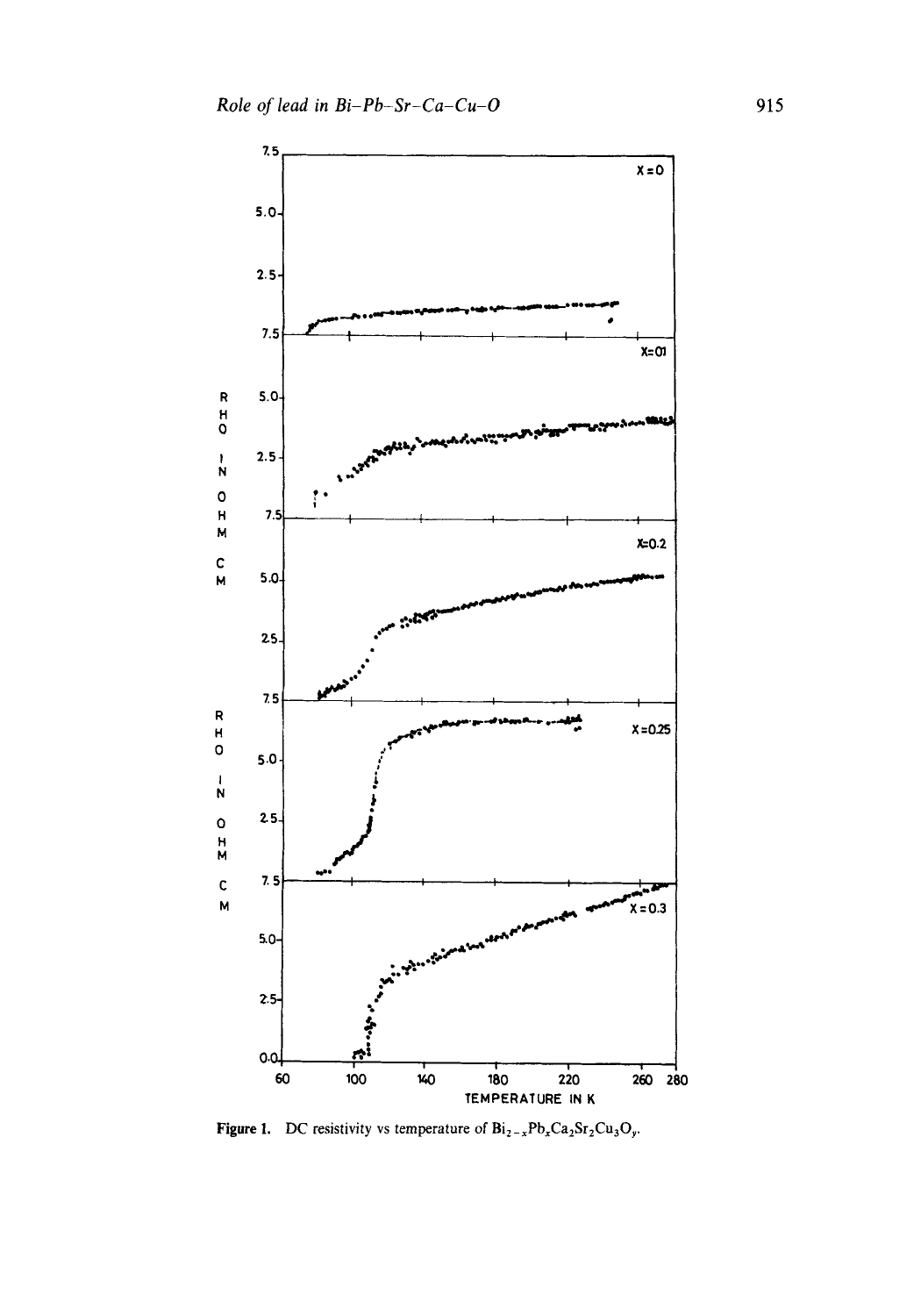

**Figure 1.** DC resistivity vs temperature of  $Bi_{2-x}Pb_xCa_2Sr_2Cu_3O_y$ .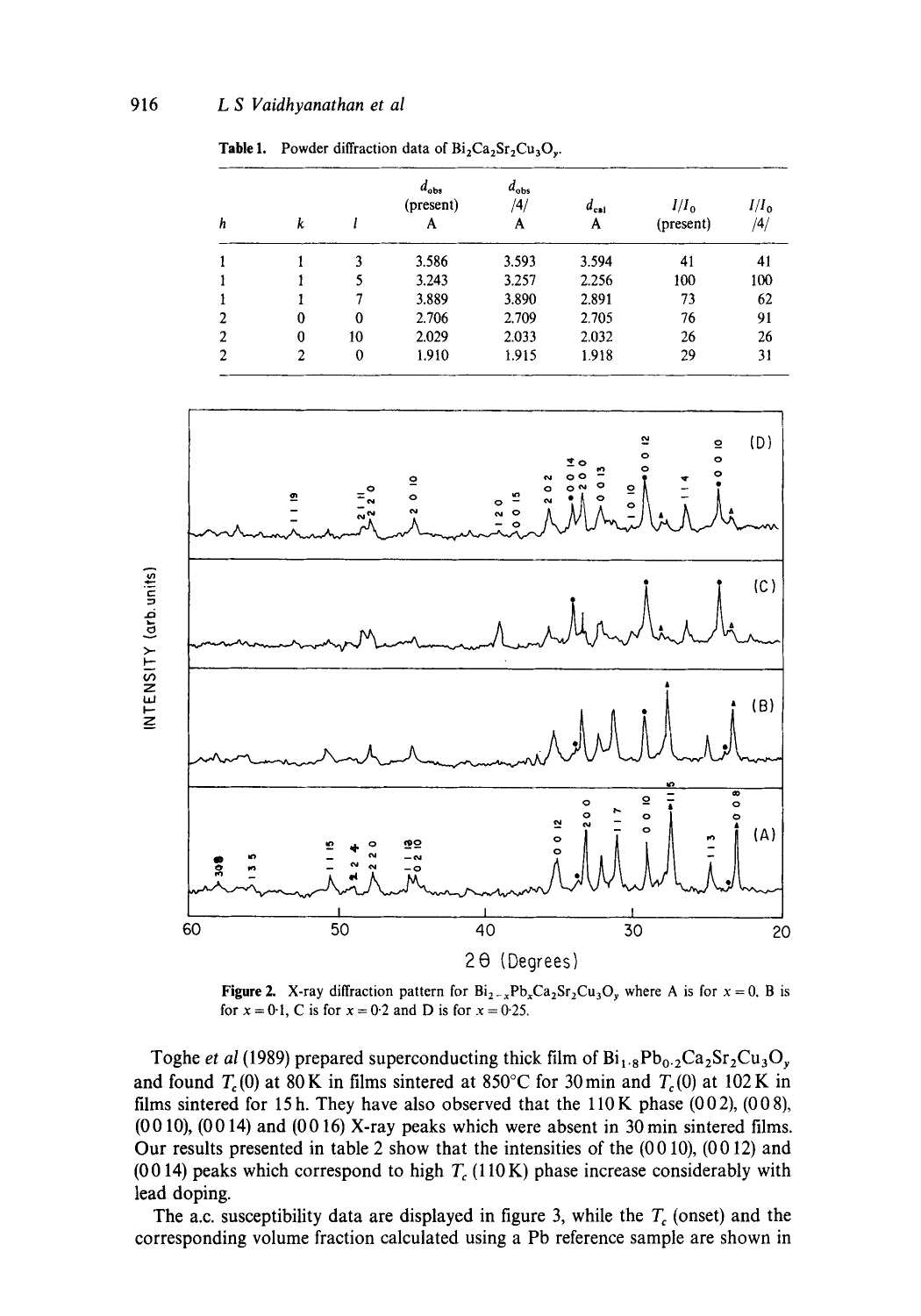| h | k |          | $d_{obs}$<br>(present)<br>A | $d_{\text{obs}}$<br>/4/<br>A | $d_{\rm cal}$<br>A | $I/I_0$<br>(present) | $I/I_0$<br>/4/ |
|---|---|----------|-----------------------------|------------------------------|--------------------|----------------------|----------------|
|   |   | 3        | 3.586                       | 3.593                        | 3.594              | 41                   | 41             |
|   |   |          | 3.243                       | 3.257                        | 2.256              | 100                  | 100            |
|   |   |          | 3.889                       | 3.890                        | 2.891              | 73                   | 62             |
| 2 | 0 | $\theta$ | 2.706                       | 2.709                        | 2.705              | 76                   | 91             |
| 2 | 0 | 10       | 2.029                       | 2.033                        | 2.032              | 26                   | 26             |
| 2 | 2 | 0        | 1.910                       | 1.915                        | 1.918              | 29                   | 31             |

Table 1. Powder diffraction data of  $Bi_2Ca_2Sr_2Cu_3O_v$ .



**Figure 2.** X-ray diffraction pattern for  $Bi_{2-x}Pb_xCa_2Sr_2Cu_3O_y$ , where A is for  $x = 0$ , B is for  $x = 0.1$ , C is for  $x = 0.2$  and D is for  $x = 0.25$ .

Toghe et al (1989) prepared superconducting thick film of  $Bi_{1.8}Pb_{0.2}Ca_2Sr_2Cu_3O_y$ and found  $T_c(0)$  at 80 K in films sintered at 850°C for 30 min and  $T_c(0)$  at 102 K in films sintered for 15 h. They have also observed that the  $110K$  phase (002), (008),  $(0010)$ ,  $(0014)$  and  $(0016)$  X-ray peaks which were absent in 30 min sintered films. Our results presented in table 2 show that the intensities of the  $(0010)$ ,  $(0012)$  and (0014) peaks which correspond to high  $T_c(110\,\text{K})$  phase increase considerably with lead doping.

The a.c. susceptibility data are displayed in figure 3, while the  $T_c$  (onset) and the corresponding volume fraction calculated using a Pb reference sample are shown in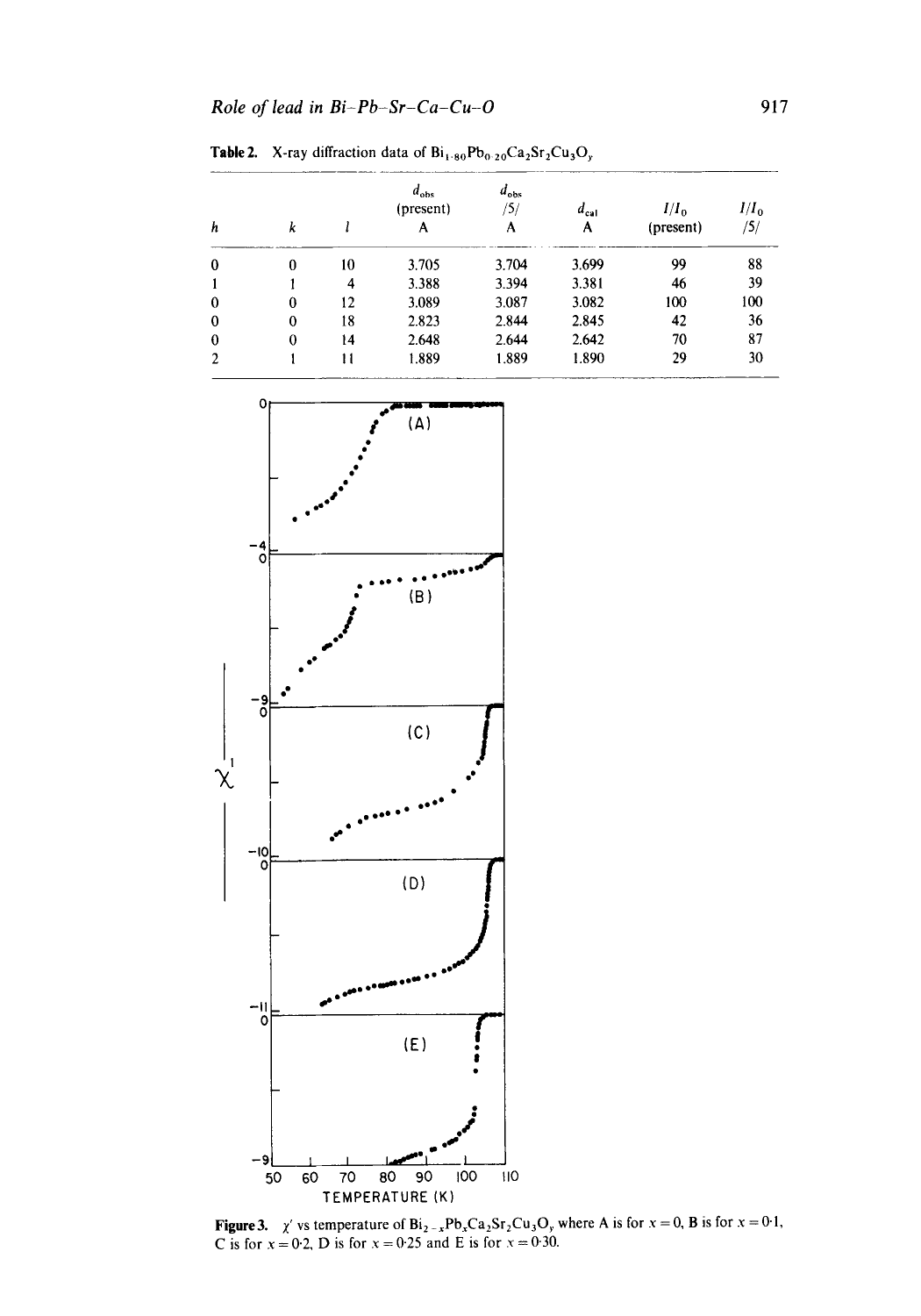Table 2. X-ray diffraction data of  $Bi_{1.80}Pb_{0.20}Ca_2Sr_2Cu_3O_y$ 

| h          | k        |    | $d_{obs}$<br>(present)<br>A | $a_{obs}$<br>'5/<br>A | $a_{ca}$<br>A | $I/I_{0}$<br>(present) | $I/I_0$<br>/5/ |
|------------|----------|----|-----------------------------|-----------------------|---------------|------------------------|----------------|
| $^{\rm o}$ | 0        | 10 | 3.705                       | 3.704                 | 3.699         | 99                     | 88             |
|            |          | 4  | 3.388                       | 3.394                 | 3.381         | 46                     | 39             |
| $\Omega$   | 0        | 12 | 3.089                       | 3.087                 | 3.082         | 100                    | 100            |
| $^{\circ}$ | $\theta$ | 18 | 2.823                       | 2.844                 | 2.845         | 42                     | 36             |
| $\theta$   | $\theta$ | 14 | 2.648                       | 2.644                 | 2.642         | 70                     | 87             |
| 2          |          | 11 | 1.889                       | 1.889                 | 1.890         | 29                     | 30             |



**Figure 3.**  $\chi'$  vs temperature of Bi<sub>2-x</sub>Pb<sub>x</sub>Ca<sub>2</sub>Sr<sub>2</sub>Cu<sub>3</sub>O<sub>y</sub> where A is for  $x = 0$ , B is for  $x = 0.1$ , C is for  $x = 0.2$ , D is for  $x = 0.25$  and E is for  $x = 0.30$ .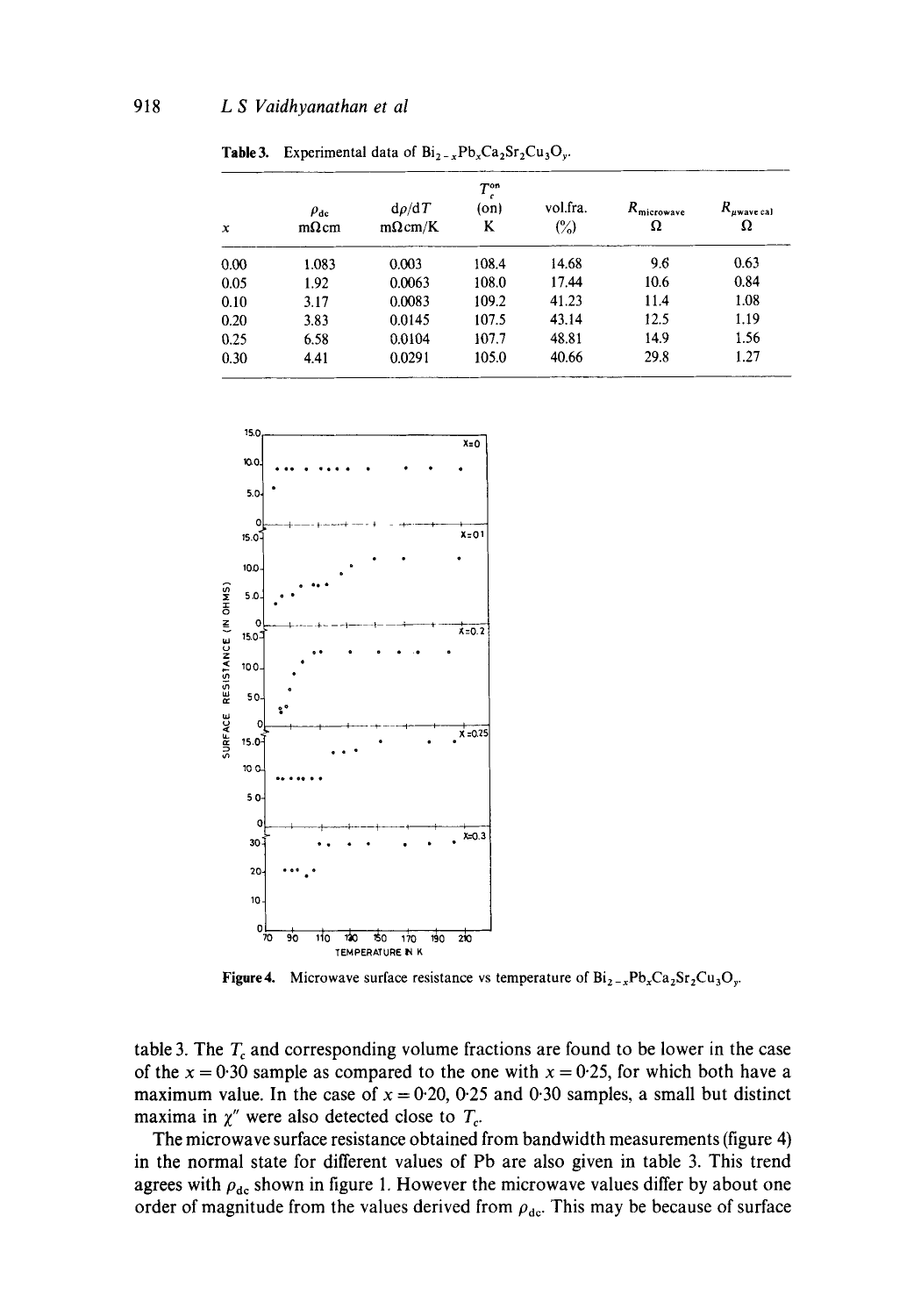| $\boldsymbol{x}$ | $\rho_{\rm dc}$<br>$m\Omega$ cm | $d\rho/dT$<br>$m\Omega$ cm/K | $T_c^{\rm on}$<br>(on)<br>ĸ | vol.fra.<br>$\binom{6}{0}$ | $R_{\text{microwave}}$<br>Ω | $R_{\mu \text{wave cal}}$<br>Ω |
|------------------|---------------------------------|------------------------------|-----------------------------|----------------------------|-----------------------------|--------------------------------|
| 0.00             | 1.083                           | 0.003                        | 108.4                       | 14.68                      | 9.6                         | 0.63                           |
| 0.05             | 1.92                            | 0.0063                       | 108.0                       | 17.44                      | 10.6                        | 0.84                           |
| 0.10             | 3.17                            | 0.0083                       | 109.2                       | 41.23                      | 11.4                        | 1.08                           |
| 0.20             | 3.83                            | 0.0145                       | 107.5                       | 43.14                      | 12.5                        | 1.19                           |
| 0.25             | 6.58                            | 0.0104                       | 107.7                       | 48.81                      | 14.9                        | 1.56                           |
| 0.30             | 4.41                            | 0.0291                       | 105.0                       | 40.66                      | 29.8                        | 1.27                           |

**Table 3.** Experimental data of  $Bi_{2-x}Pb_xCa_2Sr_2Cu_3O_y$ .



**Figure 4.** Microwave surface resistance vs temperature of  $Bi_{2-x}Pb_xCa_2Sr_2Cu_3O_y$ .

table 3. The  $T_c$  and corresponding volume fractions are found to be lower in the case of the  $x = 0.30$  sample as compared to the one with  $x = 0.25$ , for which both have a maximum value. In the case of  $x = 0.20$ , 0.25 and 0.30 samples, a small but distinct maxima in  $\chi''$  were also detected close to  $T_c$ .

The microwave surface resistance obtained from bandwidth measurements (figure 4) in the normal state for different values of Pb are also given in table 3. This trend agrees with  $\rho_{dc}$  shown in figure 1. However the microwave values differ by about one order of magnitude from the values derived from  $\rho_{\text{dc}}$ . This may be because of surface